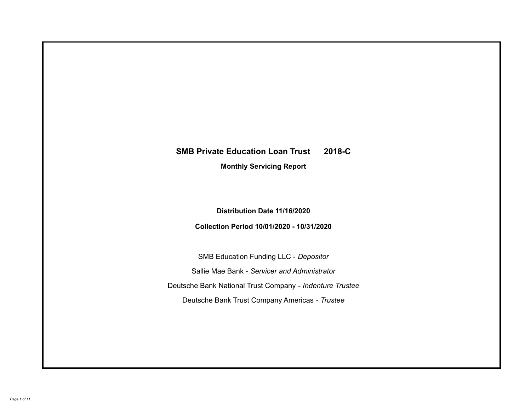# **SMB Private Education Loan Trust 2018-C Monthly Servicing Report**

**Distribution Date 11/16/2020**

**Collection Period 10/01/2020 - 10/31/2020**

SMB Education Funding LLC - *Depositor* Sallie Mae Bank - *Servicer and Administrator* Deutsche Bank National Trust Company - *Indenture Trustee* Deutsche Bank Trust Company Americas - *Trustee*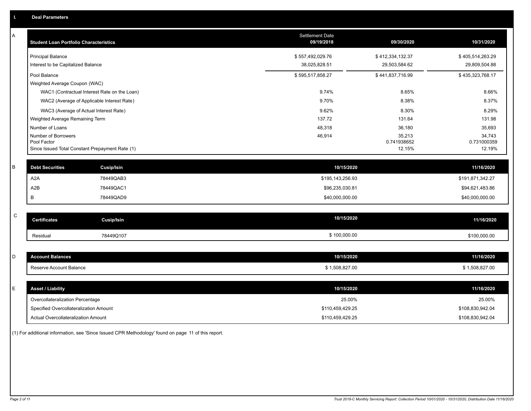| А | <b>Student Loan Portfolio Characteristics</b>                  | <b>Settlement Date</b><br>09/19/2018 | 09/30/2020            | 10/31/2020            |
|---|----------------------------------------------------------------|--------------------------------------|-----------------------|-----------------------|
|   | <b>Principal Balance</b>                                       | \$557,492,029.76                     | \$412,334,132.37      | \$405,514,263.29      |
|   | Interest to be Capitalized Balance                             | 38,025,828.51                        | 29,503,584.62         | 29,809,504.88         |
|   | Pool Balance                                                   | \$595,517,858.27                     | \$441,837,716.99      | \$435,323,768.17      |
|   | Weighted Average Coupon (WAC)                                  |                                      |                       |                       |
|   | WAC1 (Contractual Interest Rate on the Loan)                   | 9.74%                                | 8.65%                 | 8.66%                 |
|   | WAC2 (Average of Applicable Interest Rate)                     | 9.70%                                | 8.38%                 | 8.37%                 |
|   | WAC3 (Average of Actual Interest Rate)                         | 9.62%                                | 8.30%                 | 8.29%                 |
|   | Weighted Average Remaining Term                                | 137.72                               | 131.64                | 131.98                |
|   | Number of Loans                                                | 48,318                               | 36,180                | 35,693                |
|   | Number of Borrowers                                            | 46,914                               | 35,213                | 34,743                |
|   | Pool Factor<br>Since Issued Total Constant Prepayment Rate (1) |                                      | 0.741938652<br>12.15% | 0.731000359<br>12.19% |
|   |                                                                |                                      |                       |                       |
| B | <b>Debt Securities</b><br><b>Cusip/Isin</b>                    | 10/15/2020                           |                       | 11/16/2020            |
|   | A <sub>2</sub> A<br>78449QAB3                                  | \$195,143,256.93                     |                       | \$191,871,342.27      |
|   | A <sub>2</sub> B<br>78449QAC1                                  | \$96,235,030.81                      |                       | \$94,621,483.86       |
|   | В<br>78449QAD9                                                 | \$40,000,000.00                      |                       | \$40,000,000.00       |
|   |                                                                |                                      |                       |                       |
| C | <b>Certificates</b><br><b>Cusip/Isin</b>                       | 10/15/2020                           |                       | 11/16/2020            |
|   | 78449Q107<br>Residual                                          | \$100,000.00                         |                       | \$100,000.00          |
|   |                                                                |                                      |                       |                       |
| D | <b>Account Balances</b>                                        | 10/15/2020                           |                       | 11/16/2020            |
|   | Reserve Account Balance                                        | \$1,508,827.00                       |                       | \$1,508,827.00        |
|   |                                                                |                                      |                       |                       |
| Е | <b>Asset / Liability</b>                                       | 10/15/2020                           |                       | 11/16/2020            |
|   | Overcollateralization Percentage                               | 25.00%                               |                       | 25.00%                |
|   | Specified Overcollateralization Amount                         | \$110,459,429.25                     |                       | \$108,830,942.04      |
|   | Actual Overcollateralization Amount                            | \$110,459,429.25                     |                       | \$108,830,942.04      |

(1) For additional information, see 'Since Issued CPR Methodology' found on page 11 of this report.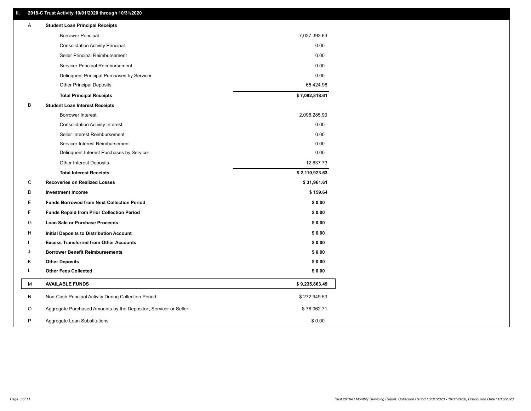### **II. 2018-C Trust Activity 10/01/2020 through 10/31/2020**

| Α | <b>Student Loan Principal Receipts</b>                           |                |  |
|---|------------------------------------------------------------------|----------------|--|
|   | <b>Borrower Principal</b>                                        | 7,027,393.63   |  |
|   | <b>Consolidation Activity Principal</b>                          | 0.00           |  |
|   | Seller Principal Reimbursement                                   | 0.00           |  |
|   | Servicer Principal Reimbursement                                 | 0.00           |  |
|   | Delinquent Principal Purchases by Servicer                       | 0.00           |  |
|   | <b>Other Principal Deposits</b>                                  | 65,424.98      |  |
|   | <b>Total Principal Receipts</b>                                  | \$7,092,818.61 |  |
| B | <b>Student Loan Interest Receipts</b>                            |                |  |
|   | Borrower Interest                                                | 2,098,285.90   |  |
|   | <b>Consolidation Activity Interest</b>                           | 0.00           |  |
|   | Seller Interest Reimbursement                                    | 0.00           |  |
|   | Servicer Interest Reimbursement                                  | 0.00           |  |
|   | Delinquent Interest Purchases by Servicer                        | 0.00           |  |
|   | Other Interest Deposits                                          | 12,637.73      |  |
|   | <b>Total Interest Receipts</b>                                   | \$2,110,923.63 |  |
| C | <b>Recoveries on Realized Losses</b>                             | \$31,961.61    |  |
| D | <b>Investment Income</b>                                         | \$159.64       |  |
| E | <b>Funds Borrowed from Next Collection Period</b>                | \$0.00         |  |
| F | <b>Funds Repaid from Prior Collection Period</b>                 | \$0.00         |  |
| G | <b>Loan Sale or Purchase Proceeds</b>                            | \$0.00         |  |
| н | Initial Deposits to Distribution Account                         | \$0.00         |  |
|   | <b>Excess Transferred from Other Accounts</b>                    | \$0.00         |  |
| J | <b>Borrower Benefit Reimbursements</b>                           | \$0.00         |  |
| κ | <b>Other Deposits</b>                                            | \$0.00         |  |
| L | <b>Other Fees Collected</b>                                      | \$0.00         |  |
| М | <b>AVAILABLE FUNDS</b>                                           | \$9,235,863.49 |  |
| N | Non-Cash Principal Activity During Collection Period             | \$272,949.53   |  |
| O | Aggregate Purchased Amounts by the Depositor, Servicer or Seller | \$78,062.71    |  |
| P | Aggregate Loan Substitutions                                     | \$0.00         |  |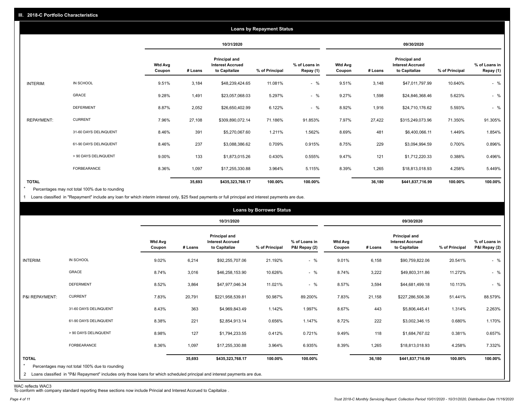|                   | <b>Loans by Repayment Status</b> |                          |            |                                                           |                |                            |                          |         |                                                           |                |                            |
|-------------------|----------------------------------|--------------------------|------------|-----------------------------------------------------------|----------------|----------------------------|--------------------------|---------|-----------------------------------------------------------|----------------|----------------------------|
|                   |                                  |                          | 10/31/2020 |                                                           | 09/30/2020     |                            |                          |         |                                                           |                |                            |
|                   |                                  | <b>Wtd Avg</b><br>Coupon | # Loans    | Principal and<br><b>Interest Accrued</b><br>to Capitalize | % of Principal | % of Loans in<br>Repay (1) | <b>Wtd Avg</b><br>Coupon | # Loans | Principal and<br><b>Interest Accrued</b><br>to Capitalize | % of Principal | % of Loans in<br>Repay (1) |
| INTERIM:          | IN SCHOOL                        | 9.51%                    | 3,184      | \$48,239,424.65                                           | 11.081%        | $-$ %                      | 9.51%                    | 3,148   | \$47,011,797.99                                           | 10.640%        | $-$ %                      |
|                   | GRACE                            | 9.28%                    | 1,491      | \$23,057,068.03                                           | 5.297%         | $-$ %                      | 9.27%                    | 1,598   | \$24,846,368.46                                           | 5.623%         | $-$ %                      |
|                   | <b>DEFERMENT</b>                 | 8.87%                    | 2,052      | \$26,650,402.99                                           | 6.122%         | $-$ %                      | 8.92%                    | 1,916   | \$24,710,176.62                                           | 5.593%         | $-$ %                      |
| <b>REPAYMENT:</b> | <b>CURRENT</b>                   | 7.96%                    | 27,108     | \$309,890,072.14                                          | 71.186%        | 91.853%                    | 7.97%                    | 27,422  | \$315,249,073.96                                          | 71.350%        | 91.305%                    |
|                   | 31-60 DAYS DELINQUENT            | 8.46%                    | 391        | \$5,270,067.60                                            | 1.211%         | 1.562%                     | 8.69%                    | 481     | \$6,400,066.11                                            | 1.449%         | 1.854%                     |
|                   | 61-90 DAYS DELINQUENT            | 8.46%                    | 237        | \$3,088,386.62                                            | 0.709%         | 0.915%                     | 8.75%                    | 229     | \$3,094,994.59                                            | 0.700%         | 0.896%                     |
|                   | > 90 DAYS DELINQUENT             | 9.00%                    | 133        | \$1,873,015.26                                            | 0.430%         | 0.555%                     | 9.47%                    | 121     | \$1,712,220.33                                            | 0.388%         | 0.496%                     |
|                   | FORBEARANCE                      | 8.36%                    | 1,097      | \$17,255,330.88                                           | 3.964%         | 5.115%                     | 8.39%                    | 1,265   | \$18,813,018.93                                           | 4.258%         | 5.449%                     |
| <b>TOTAL</b>      |                                  |                          | 35,693     | \$435,323,768.17                                          | 100.00%        | 100.00%                    |                          | 36,180  | \$441,837,716.99                                          | 100.00%        | 100.00%                    |

Percentages may not total 100% due to rounding  $\star$ 

1 Loans classified in "Repayment" include any loan for which interim interest only, \$25 fixed payments or full principal and interest payments are due.

|                         |                                                                                                                                                                                |                          |         |                                                           | <b>Loans by Borrower Status</b> |                                |                          |         |                                                                  |                |                                |
|-------------------------|--------------------------------------------------------------------------------------------------------------------------------------------------------------------------------|--------------------------|---------|-----------------------------------------------------------|---------------------------------|--------------------------------|--------------------------|---------|------------------------------------------------------------------|----------------|--------------------------------|
|                         |                                                                                                                                                                                |                          |         | 10/31/2020                                                |                                 |                                | 09/30/2020               |         |                                                                  |                |                                |
|                         |                                                                                                                                                                                | <b>Wtd Avg</b><br>Coupon | # Loans | Principal and<br><b>Interest Accrued</b><br>to Capitalize | % of Principal                  | % of Loans in<br>P&I Repay (2) | <b>Wtd Avg</b><br>Coupon | # Loans | <b>Principal and</b><br><b>Interest Accrued</b><br>to Capitalize | % of Principal | % of Loans in<br>P&I Repay (2) |
| INTERIM:                | IN SCHOOL                                                                                                                                                                      | 9.02%                    | 6,214   | \$92,255,707.06                                           | 21.192%                         | $-$ %                          | 9.01%                    | 6,158   | \$90,759,822.06                                                  | 20.541%        | $-$ %                          |
|                         | GRACE                                                                                                                                                                          | 8.74%                    | 3,016   | \$46,258,153.90                                           | 10.626%                         | $-$ %                          | 8.74%                    | 3,222   | \$49,803,311.86                                                  | 11.272%        | $-$ %                          |
|                         | <b>DEFERMENT</b>                                                                                                                                                               | 8.52%                    | 3,864   | \$47,977,046.34                                           | 11.021%                         | $-$ %                          | 8.57%                    | 3,594   | \$44,681,499.18                                                  | 10.113%        | $-$ %                          |
| P&I REPAYMENT:          | <b>CURRENT</b>                                                                                                                                                                 | 7.83%                    | 20,791  | \$221,958,539.81                                          | 50.987%                         | 89.200%                        | 7.83%                    | 21,158  | \$227,286,506.38                                                 | 51.441%        | 88.579%                        |
|                         | 31-60 DAYS DELINQUENT                                                                                                                                                          | 8.43%                    | 363     | \$4,969,843.49                                            | 1.142%                          | 1.997%                         | 8.67%                    | 443     | \$5,806,445.41                                                   | 1.314%         | 2.263%                         |
|                         | 61-90 DAYS DELINQUENT                                                                                                                                                          | 8.38%                    | 221     | \$2,854,913.14                                            | 0.656%                          | 1.147%                         | 8.72%                    | 222     | \$3,002,346.15                                                   | 0.680%         | 1.170%                         |
|                         | > 90 DAYS DELINQUENT                                                                                                                                                           | 8.98%                    | 127     | \$1,794,233.55                                            | 0.412%                          | 0.721%                         | 9.49%                    | 118     | \$1,684,767.02                                                   | 0.381%         | 0.657%                         |
|                         | <b>FORBEARANCE</b>                                                                                                                                                             | 8.36%                    | 1,097   | \$17,255,330.88                                           | 3.964%                          | 6.935%                         | 8.39%                    | 1,265   | \$18,813,018.93                                                  | 4.258%         | 7.332%                         |
| <b>TOTAL</b><br>$\star$ | Percentages may not total 100% due to rounding<br>2 Loans classified in "P&I Repayment" includes only those loans for which scheduled principal and interest payments are due. |                          | 35,693  | \$435,323,768.17                                          | 100.00%                         | 100.00%                        |                          | 36,180  | \$441,837,716.99                                                 | 100.00%        | 100.00%                        |

WAC reflects WAC3 To conform with company standard reporting these sections now include Princial and Interest Accrued to Capitalize .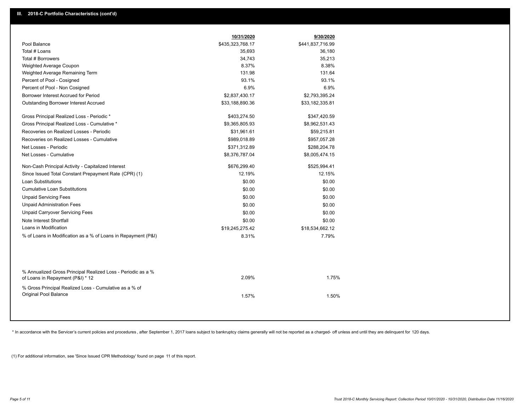|                                                                                                  | 10/31/2020       | 9/30/2020        |  |
|--------------------------------------------------------------------------------------------------|------------------|------------------|--|
| Pool Balance                                                                                     | \$435,323,768.17 | \$441,837,716.99 |  |
| Total # Loans                                                                                    | 35,693           | 36,180           |  |
| Total # Borrowers                                                                                | 34,743           | 35,213           |  |
| Weighted Average Coupon                                                                          | 8.37%            | 8.38%            |  |
| Weighted Average Remaining Term                                                                  | 131.98           | 131.64           |  |
| Percent of Pool - Cosigned                                                                       | 93.1%            | 93.1%            |  |
| Percent of Pool - Non Cosigned                                                                   | 6.9%             | 6.9%             |  |
| Borrower Interest Accrued for Period                                                             | \$2,837,430.17   | \$2,793,395.24   |  |
| <b>Outstanding Borrower Interest Accrued</b>                                                     | \$33,188,890.36  | \$33,182,335.81  |  |
| Gross Principal Realized Loss - Periodic *                                                       | \$403,274.50     | \$347,420.59     |  |
| Gross Principal Realized Loss - Cumulative *                                                     | \$9,365,805.93   | \$8,962,531.43   |  |
| Recoveries on Realized Losses - Periodic                                                         | \$31,961.61      | \$59,215.81      |  |
| Recoveries on Realized Losses - Cumulative                                                       | \$989,018.89     | \$957,057.28     |  |
| Net Losses - Periodic                                                                            | \$371,312.89     | \$288,204.78     |  |
| Net Losses - Cumulative                                                                          | \$8,376,787.04   | \$8,005,474.15   |  |
| Non-Cash Principal Activity - Capitalized Interest                                               | \$676,299.40     | \$525,994.41     |  |
| Since Issued Total Constant Prepayment Rate (CPR) (1)                                            | 12.19%           | 12.15%           |  |
| <b>Loan Substitutions</b>                                                                        | \$0.00           | \$0.00           |  |
| <b>Cumulative Loan Substitutions</b>                                                             | \$0.00           | \$0.00           |  |
| <b>Unpaid Servicing Fees</b>                                                                     | \$0.00           | \$0.00           |  |
| <b>Unpaid Administration Fees</b>                                                                | \$0.00           | \$0.00           |  |
| <b>Unpaid Carryover Servicing Fees</b>                                                           | \$0.00           | \$0.00           |  |
| Note Interest Shortfall                                                                          | \$0.00           | \$0.00           |  |
| Loans in Modification                                                                            | \$19,245,275.42  | \$18,534,662.12  |  |
| % of Loans in Modification as a % of Loans in Repayment (P&I)                                    | 8.31%            | 7.79%            |  |
|                                                                                                  |                  |                  |  |
| % Annualized Gross Principal Realized Loss - Periodic as a %<br>of Loans in Repayment (P&I) * 12 | 2.09%            | 1.75%            |  |
| % Gross Principal Realized Loss - Cumulative as a % of                                           |                  |                  |  |
| Original Pool Balance                                                                            | 1.57%            | 1.50%            |  |

\* In accordance with the Servicer's current policies and procedures, after September 1, 2017 loans subject to bankruptcy claims generally will not be reported as a charged- off unless and until they are delinquent for 120

(1) For additional information, see 'Since Issued CPR Methodology' found on page 11 of this report.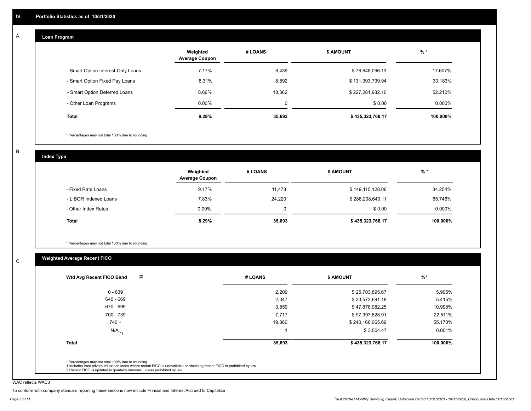#### **Loan Program**  A

|                                    | Weighted<br><b>Average Coupon</b> | # LOANS     | <b>\$ AMOUNT</b> | $%$ *    |
|------------------------------------|-----------------------------------|-------------|------------------|----------|
| - Smart Option Interest-Only Loans | 7.17%                             | 8,439       | \$76,648,096.13  | 17.607%  |
| - Smart Option Fixed Pay Loans     | 8.31%                             | 8,892       | \$131,393,739.94 | 30.183%  |
| - Smart Option Deferred Loans      | 8.66%                             | 18,362      | \$227,281,932.10 | 52.210%  |
| - Other Loan Programs              | $0.00\%$                          | $\mathbf 0$ | \$0.00           | 0.000%   |
| <b>Total</b>                       | 8.29%                             | 35,693      | \$435,323,768.17 | 100.000% |

\* Percentages may not total 100% due to rounding

B

C

**Index Type**

|                       | Weighted<br><b>Average Coupon</b> | # LOANS | <b>S AMOUNT</b>  | $%$ *     |
|-----------------------|-----------------------------------|---------|------------------|-----------|
| - Fixed Rate Loans    | 9.17%                             | 11,473  | \$149,115,128.06 | 34.254%   |
| - LIBOR Indexed Loans | 7.83%                             | 24,220  | \$286,208,640.11 | 65.746%   |
| - Other Index Rates   | $0.00\%$                          |         | \$0.00           | $0.000\%$ |
| Total                 | 8.29%                             | 35,693  | \$435,323,768.17 | 100.000%  |

\* Percentages may not total 100% due to rounding

## **Weighted Average Recent FICO**

| $0 - 639$            | 2,209  | \$25,703,895.67  | 5.905%   |
|----------------------|--------|------------------|----------|
| 640 - 669            | 2,047  | \$23,573,691.18  | 5.415%   |
| 670 - 699            | 3,859  | \$47,878,982.25  | 10.998%  |
| 700 - 739            | 7,717  | \$97,997,628.91  | 22.511%  |
| $740 +$              | 19,860 | \$240,166,065.69 | 55.170%  |
| $N/A$ <sub>(1)</sub> |        | \$3,504.47       | 0.001%   |
| <b>Total</b>         | 35,693 | \$435,323,768.17 | 100.000% |
|                      |        |                  |          |

WAC reflects WAC3

To conform with company standard reporting these sections now include Princial and Interest Accrued to Capitalize .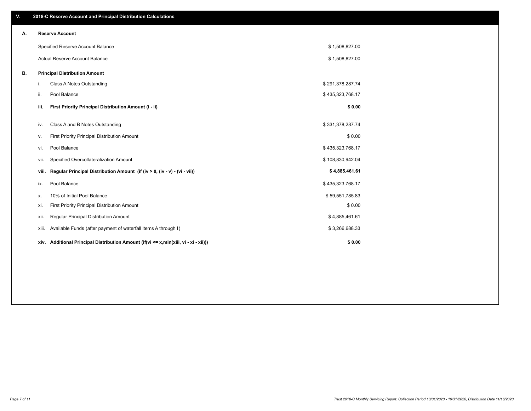| V. |                                      | 2018-C Reserve Account and Principal Distribution Calculations                  |                  |  |  |  |  |
|----|--------------------------------------|---------------------------------------------------------------------------------|------------------|--|--|--|--|
| А. | <b>Reserve Account</b>               |                                                                                 |                  |  |  |  |  |
|    | Specified Reserve Account Balance    |                                                                                 | \$1,508,827.00   |  |  |  |  |
|    |                                      | Actual Reserve Account Balance                                                  | \$1,508,827.00   |  |  |  |  |
| В. | <b>Principal Distribution Amount</b> |                                                                                 |                  |  |  |  |  |
|    | i.                                   | Class A Notes Outstanding                                                       | \$291,378,287.74 |  |  |  |  |
|    | ii.                                  | Pool Balance                                                                    | \$435,323,768.17 |  |  |  |  |
|    | iii.                                 | First Priority Principal Distribution Amount (i - ii)                           | \$0.00           |  |  |  |  |
|    |                                      |                                                                                 |                  |  |  |  |  |
|    | iv.                                  | Class A and B Notes Outstanding                                                 | \$331,378,287.74 |  |  |  |  |
|    | v.                                   | First Priority Principal Distribution Amount                                    | \$0.00           |  |  |  |  |
|    | vi.                                  | Pool Balance                                                                    | \$435,323,768.17 |  |  |  |  |
|    | VII.                                 | Specified Overcollateralization Amount                                          | \$108,830,942.04 |  |  |  |  |
|    | viii.                                | Regular Principal Distribution Amount (if (iv > 0, (iv - v) - (vi - vii))       | \$4,885,461.61   |  |  |  |  |
|    | ix.                                  | Pool Balance                                                                    | \$435,323,768.17 |  |  |  |  |
|    | х.                                   | 10% of Initial Pool Balance                                                     | \$59,551,785.83  |  |  |  |  |
|    | xi.                                  | First Priority Principal Distribution Amount                                    | \$0.00           |  |  |  |  |
|    | xii.                                 | Regular Principal Distribution Amount                                           | \$4,885,461.61   |  |  |  |  |
|    | xiii.                                | Available Funds (after payment of waterfall items A through I)                  | \$3,266,688.33   |  |  |  |  |
|    | xiv.                                 | Additional Principal Distribution Amount (if(vi <= x,min(xiii, vi - xi - xii))) | \$0.00           |  |  |  |  |
|    |                                      |                                                                                 |                  |  |  |  |  |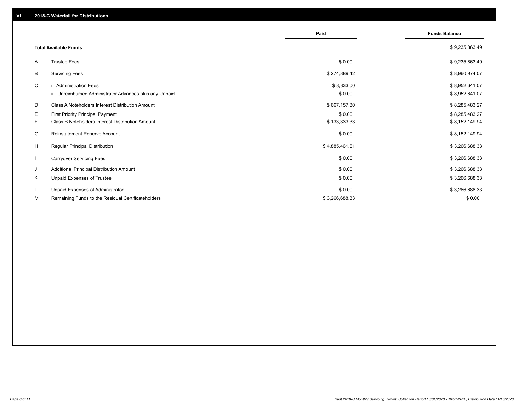|              |                                                                                             | Paid                 | <b>Funds Balance</b>             |
|--------------|---------------------------------------------------------------------------------------------|----------------------|----------------------------------|
|              | <b>Total Available Funds</b>                                                                |                      | \$9,235,863.49                   |
| A            | <b>Trustee Fees</b>                                                                         | \$0.00               | \$9,235,863.49                   |
| В            | <b>Servicing Fees</b>                                                                       | \$274,889.42         | \$8,960,974.07                   |
| C            | i. Administration Fees<br>ii. Unreimbursed Administrator Advances plus any Unpaid           | \$8,333.00<br>\$0.00 | \$8,952,641.07<br>\$8,952,641.07 |
| D            | Class A Noteholders Interest Distribution Amount                                            | \$667,157.80         | \$8,285,483.27                   |
| E.<br>F.     | <b>First Priority Principal Payment</b><br>Class B Noteholders Interest Distribution Amount | \$0.00               | \$8,285,483.27                   |
|              |                                                                                             | \$133,333.33         | \$8,152,149.94                   |
| G            | Reinstatement Reserve Account                                                               | \$0.00               | \$8,152,149.94                   |
| H            | <b>Regular Principal Distribution</b>                                                       | \$4,885,461.61       | \$3,266,688.33                   |
| $\mathbf{I}$ | <b>Carryover Servicing Fees</b>                                                             | \$0.00               | \$3,266,688.33                   |
| J            | Additional Principal Distribution Amount                                                    | \$0.00               | \$3,266,688.33                   |
| Κ            | Unpaid Expenses of Trustee                                                                  | \$0.00               | \$3,266,688.33                   |
| L            | Unpaid Expenses of Administrator                                                            | \$0.00               | \$3,266,688.33                   |
| M            | Remaining Funds to the Residual Certificateholders                                          | \$3,266,688.33       | \$0.00                           |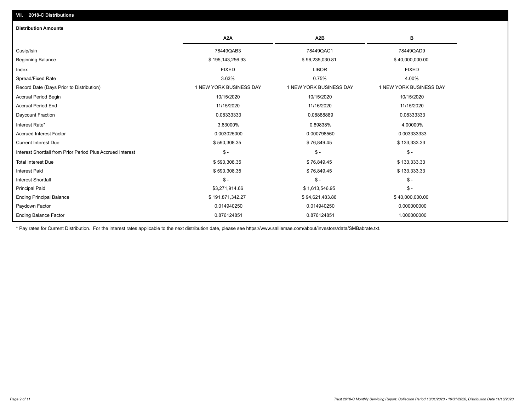| <b>Distribution Amounts</b>                                |                         |                         |                         |
|------------------------------------------------------------|-------------------------|-------------------------|-------------------------|
|                                                            | A <sub>2</sub> A        | A <sub>2</sub> B        | в                       |
| Cusip/Isin                                                 | 78449QAB3               | 78449QAC1               | 78449QAD9               |
| <b>Beginning Balance</b>                                   | \$195,143,256.93        | \$96,235,030.81         | \$40,000,000.00         |
| Index                                                      | <b>FIXED</b>            | <b>LIBOR</b>            | <b>FIXED</b>            |
| Spread/Fixed Rate                                          | 3.63%                   | 0.75%                   | 4.00%                   |
| Record Date (Days Prior to Distribution)                   | 1 NEW YORK BUSINESS DAY | 1 NEW YORK BUSINESS DAY | 1 NEW YORK BUSINESS DAY |
| <b>Accrual Period Begin</b>                                | 10/15/2020              | 10/15/2020              | 10/15/2020              |
| <b>Accrual Period End</b>                                  | 11/15/2020              | 11/16/2020              | 11/15/2020              |
| Daycount Fraction                                          | 0.08333333              | 0.0888889               | 0.08333333              |
| Interest Rate*                                             | 3.63000%                | 0.89838%                | 4.00000%                |
| <b>Accrued Interest Factor</b>                             | 0.003025000             | 0.000798560             | 0.003333333             |
| <b>Current Interest Due</b>                                | \$590,308.35            | \$76,849.45             | \$133,333.33            |
| Interest Shortfall from Prior Period Plus Accrued Interest | $\mathcal{S}$ -         | $$ -$                   | $\mathcal{S}$ -         |
| <b>Total Interest Due</b>                                  | \$590,308.35            | \$76,849.45             | \$133,333.33            |
| <b>Interest Paid</b>                                       | \$590,308.35            | \$76,849.45             | \$133,333.33            |
| <b>Interest Shortfall</b>                                  | $\mathcal{S}$ -         | $$ -$                   | $\frac{1}{2}$ -         |
| <b>Principal Paid</b>                                      | \$3,271,914.66          | \$1,613,546.95          | $$ -$                   |
| <b>Ending Principal Balance</b>                            | \$191,871,342.27        | \$94,621,483.86         | \$40,000,000.00         |
| Paydown Factor                                             | 0.014940250             | 0.014940250             | 0.000000000             |
| <b>Ending Balance Factor</b>                               | 0.876124851             | 0.876124851             | 1.000000000             |

\* Pay rates for Current Distribution. For the interest rates applicable to the next distribution date, please see https://www.salliemae.com/about/investors/data/SMBabrate.txt.

**VII. 2018-C Distributions**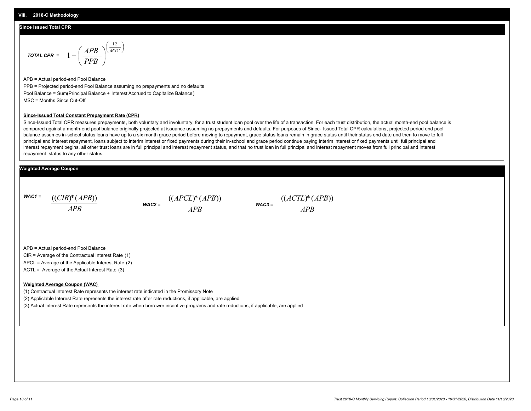#### **Since Issued Total CPR**

$$
\text{total CPR} = 1 - \left(\frac{APB}{PPB}\right)^{\left(\frac{12}{MSC}\right)}
$$

APB = Actual period-end Pool Balance PPB = Projected period-end Pool Balance assuming no prepayments and no defaults Pool Balance = Sum(Principal Balance + Interest Accrued to Capitalize Balance) MSC = Months Since Cut-Off

#### **Since-Issued Total Constant Prepayment Rate (CPR)**

Since-Issued Total CPR measures prepayments, both voluntary and involuntary, for a trust student loan pool over the life of a transaction. For each trust distribution, the actual month-end pool balance is compared against a month-end pool balance originally projected at issuance assuming no prepayments and defaults. For purposes of Since- Issued Total CPR calculations, projected period end pool balance assumes in-school status loans have up to a six month grace period before moving to repayment, grace status loans remain in grace status until their status end date and then to move to full principal and interest repayment, loans subject to interim interest or fixed payments during their in-school and grace period continue paying interim interest or fixed payments until full principal and interest repayment begins, all other trust loans are in full principal and interest repayment status, and that no trust loan in full principal and interest repayment moves from full principal and interest repayment status to any other status.

#### **Weighted Average Coupon**

*WAC1 = APB* ((*CIR*)\*(*APB*))

*WAC2 = APB*  $\frac{((APCL)^{*}(APB))}{APB}$  wac<sub>3</sub> =  $\frac{((ACTL)^{*}(A)P}{APB}$ 



APB = Actual period-end Pool Balance

CIR = Average of the Contractual Interest Rate (1)

APCL = Average of the Applicable Interest Rate (2)

ACTL = Average of the Actual Interest Rate (3)

#### **Weighted Average Coupon (WAC)**

(1) Contractual Interest Rate represents the interest rate indicated in the Promissory Note

(2) Appliclable Interest Rate represents the interest rate after rate reductions, if applicable, are applied

(3) Actual Interest Rate represents the interest rate when borrower incentive programs and rate reductions, if applicable, are applied